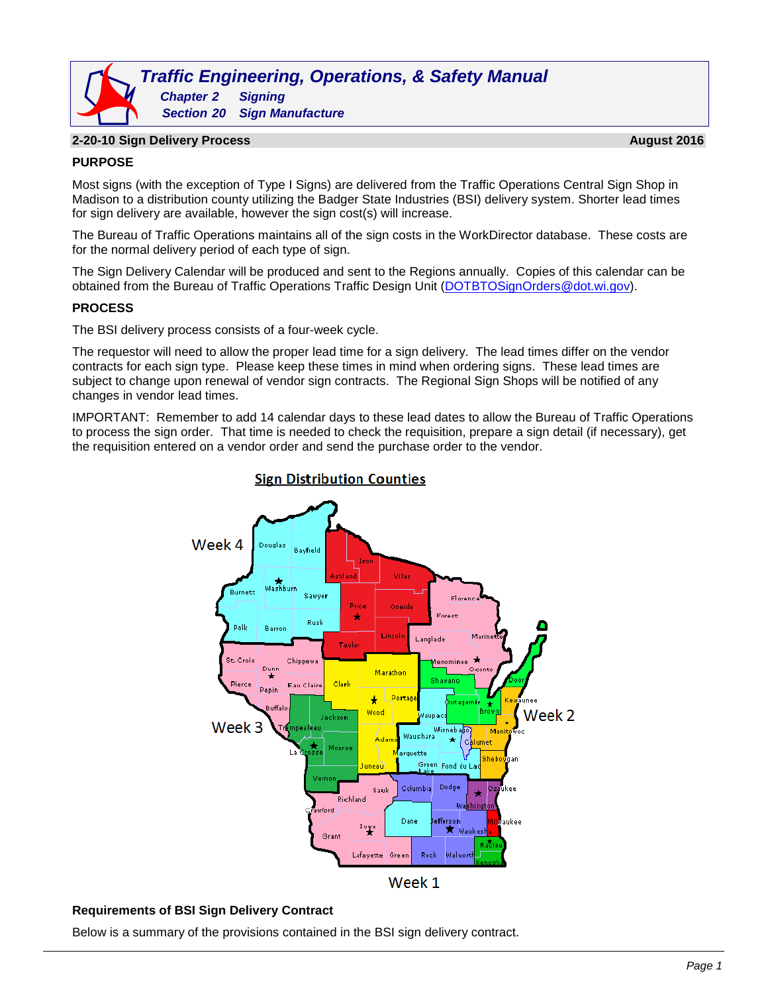# *Traffic Engineering, Operations, & Safety Manual Chapter 2 Signing Section 20 Sign Manufacture*

#### **2-20-10 Sign Delivery Process August 2016**

### **PURPOSE**

Most signs (with the exception of Type I Signs) are delivered from the Traffic Operations Central Sign Shop in Madison to a distribution county utilizing the Badger State Industries (BSI) delivery system. Shorter lead times for sign delivery are available, however the sign cost(s) will increase.

The Bureau of Traffic Operations maintains all of the sign costs in the WorkDirector database. These costs are for the normal delivery period of each type of sign.

The Sign Delivery Calendar will be produced and sent to the Regions annually. Copies of this calendar can be obtained from the Bureau of Traffic Operations Traffic Design Unit [\(DOTBTOSignOrders@dot.wi.gov\)](mailto:DOTBTOSignOrders@dot.wi.gov).

## **PROCESS**

The BSI delivery process consists of a four-week cycle.

The requestor will need to allow the proper lead time for a sign delivery. The lead times differ on the vendor contracts for each sign type. Please keep these times in mind when ordering signs. These lead times are subject to change upon renewal of vendor sign contracts. The Regional Sign Shops will be notified of any changes in vendor lead times.

IMPORTANT: Remember to add 14 calendar days to these lead dates to allow the Bureau of Traffic Operations to process the sign order. That time is needed to check the requisition, prepare a sign detail (if necessary), get the requisition entered on a vendor order and send the purchase order to the vendor.



# **Sign Distribution Counties**

#### **Requirements of BSI Sign Delivery Contract**

Below is a summary of the provisions contained in the BSI sign delivery contract.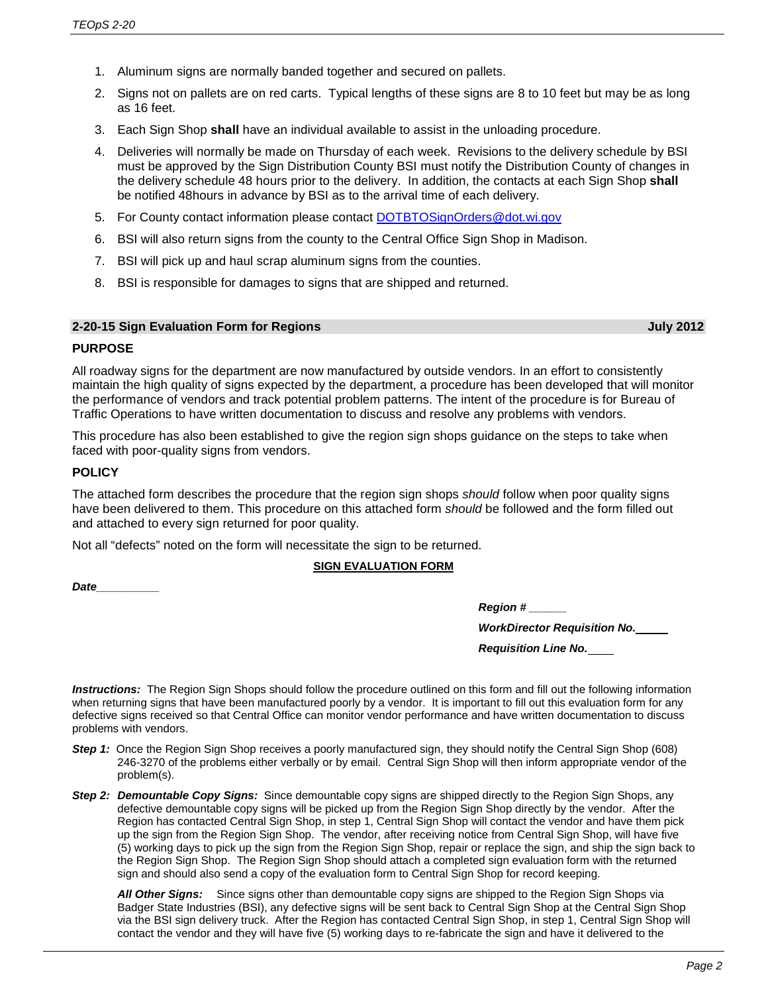- 1. Aluminum signs are normally banded together and secured on pallets.
- 2. Signs not on pallets are on red carts. Typical lengths of these signs are 8 to 10 feet but may be as long as 16 feet.
- 3. Each Sign Shop **shall** have an individual available to assist in the unloading procedure.
- 4. Deliveries will normally be made on Thursday of each week. Revisions to the delivery schedule by BSI must be approved by the Sign Distribution County BSI must notify the Distribution County of changes in the delivery schedule 48 hours prior to the delivery. In addition, the contacts at each Sign Shop **shall** be notified 48hours in advance by BSI as to the arrival time of each delivery.
- 5. For County contact information please contact [DOTBTOSignOrders@dot.wi.gov](mailto:DOTBTOSignOrders@dot.wi.gov)
- 6. BSI will also return signs from the county to the Central Office Sign Shop in Madison.
- 7. BSI will pick up and haul scrap aluminum signs from the counties.
- 8. BSI is responsible for damages to signs that are shipped and returned.

#### **2-20-15 Sign Evaluation Form for Regions July 2012**

#### **PURPOSE**

All roadway signs for the department are now manufactured by outside vendors. In an effort to consistently maintain the high quality of signs expected by the department, a procedure has been developed that will monitor the performance of vendors and track potential problem patterns. The intent of the procedure is for Bureau of Traffic Operations to have written documentation to discuss and resolve any problems with vendors.

This procedure has also been established to give the region sign shops guidance on the steps to take when faced with poor-quality signs from vendors.

#### **POLICY**

The attached form describes the procedure that the region sign shops *should* follow when poor quality signs have been delivered to them. This procedure on this attached form *should* be followed and the form filled out and attached to every sign returned for poor quality.

Not all "defects" noted on the form will necessitate the sign to be returned.

#### **SIGN EVALUATION FORM**

*Date\_\_\_\_\_\_\_\_\_\_*

| <b>Region #</b> |  |
|-----------------|--|
|-----------------|--|

*WorkDirector Requisition No.*

*Requisition Line No.*

*Instructions:* The Region Sign Shops should follow the procedure outlined on this form and fill out the following information when returning signs that have been manufactured poorly by a vendor. It is important to fill out this evaluation form for any defective signs received so that Central Office can monitor vendor performance and have written documentation to discuss problems with vendors.

- **Step 1:** Once the Region Sign Shop receives a poorly manufactured sign, they should notify the Central Sign Shop (608) 246-3270 of the problems either verbally or by email. Central Sign Shop will then inform appropriate vendor of the problem(s).
- *Step 2: Demountable Copy Signs:* Since demountable copy signs are shipped directly to the Region Sign Shops, any defective demountable copy signs will be picked up from the Region Sign Shop directly by the vendor. After the Region has contacted Central Sign Shop, in step 1, Central Sign Shop will contact the vendor and have them pick up the sign from the Region Sign Shop. The vendor, after receiving notice from Central Sign Shop, will have five (5) working days to pick up the sign from the Region Sign Shop, repair or replace the sign, and ship the sign back to the Region Sign Shop. The Region Sign Shop should attach a completed sign evaluation form with the returned sign and should also send a copy of the evaluation form to Central Sign Shop for record keeping.

*All Other Signs:* Since signs other than demountable copy signs are shipped to the Region Sign Shops via Badger State Industries (BSI), any defective signs will be sent back to Central Sign Shop at the Central Sign Shop via the BSI sign delivery truck. After the Region has contacted Central Sign Shop, in step 1, Central Sign Shop will contact the vendor and they will have five (5) working days to re-fabricate the sign and have it delivered to the